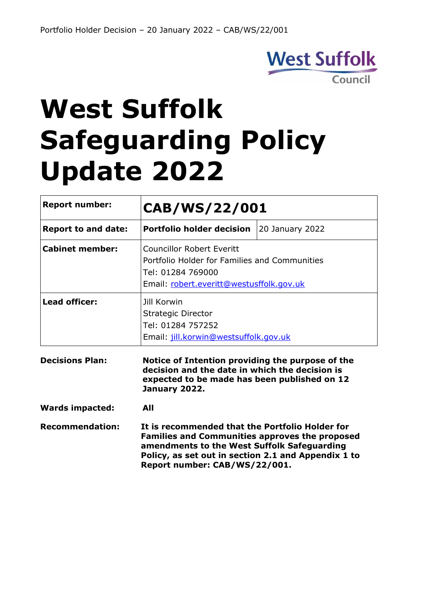

# **West Suffolk Safeguarding Policy Update 2022**

| <b>Report number:</b>      | CAB/WS/22/001                                                                                                                                                                                                                                   |                 |
|----------------------------|-------------------------------------------------------------------------------------------------------------------------------------------------------------------------------------------------------------------------------------------------|-----------------|
| <b>Report to and date:</b> | <b>Portfolio holder decision</b>                                                                                                                                                                                                                | 20 January 2022 |
| <b>Cabinet member:</b>     | <b>Councillor Robert Everitt</b><br>Portfolio Holder for Families and Communities<br>Tel: 01284 769000<br>Email: robert.everitt@westusffolk.gov.uk                                                                                              |                 |
| <b>Lead officer:</b>       | Jill Korwin<br>Strategic Director<br>Tel: 01284 757252<br>Email: jill.korwin@westsuffolk.gov.uk                                                                                                                                                 |                 |
| <b>Decisions Plan:</b>     | Notice of Intention providing the purpose of the<br>decision and the date in which the decision is<br>expected to be made has been published on 12<br>January 2022.                                                                             |                 |
| <b>Wards impacted:</b>     | All                                                                                                                                                                                                                                             |                 |
| <b>Recommendation:</b>     | It is recommended that the Portfolio Holder for<br><b>Families and Communities approves the proposed</b><br>amendments to the West Suffolk Safeguarding<br>Policy, as set out in section 2.1 and Appendix 1 to<br>Report number: CAB/WS/22/001. |                 |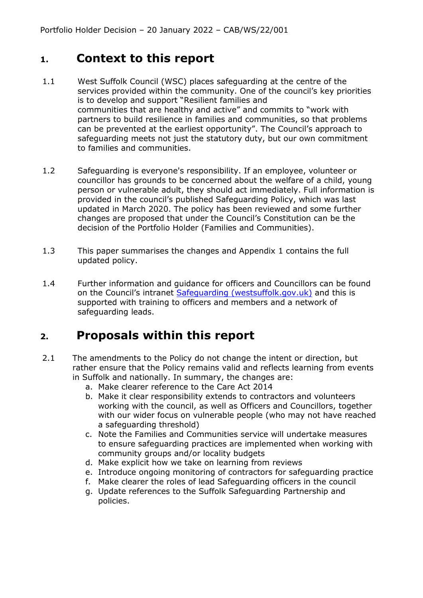#### **1. Context to this report**

- 1.1 West Suffolk Council (WSC) places safeguarding at the centre of the services provided within the community. One of the council's key priorities is to develop and support "Resilient families and communities that are healthy and active" and commits to "work with partners to build resilience in families and communities, so that problems can be prevented at the earliest opportunity". The Council's approach to safeguarding meets not just the statutory duty, but our own commitment to families and communities.
- 1.2 Safeguarding is everyone's responsibility. If an employee, volunteer or councillor has grounds to be concerned about the welfare of a child, young person or vulnerable adult, they should act immediately. Full information is provided in the council's published Safeguarding Policy, which was last updated in March 2020. The policy has been reviewed and some further changes are proposed that under the Council's Constitution can be the decision of the Portfolio Holder (Families and Communities).
- 1.3 This paper summarises the changes and Appendix 1 contains the full updated policy.
- 1.4 Further information and guidance for officers and Councillors can be found on the Council's intranet [Safeguarding \(westsuffolk.gov.uk\)](https://intranet.lan.westsuffolk.gov.uk/howto/serviceguidance/safeguarding.cfm?csSearch=31149_1) and this is supported with training to officers and members and a network of safeguarding leads.

#### **2. Proposals within this report**

- 2.1 The amendments to the Policy do not change the intent or direction, but rather ensure that the Policy remains valid and reflects learning from events in Suffolk and nationally. In summary, the changes are:
	- a. Make clearer reference to the Care Act 2014
	- b. Make it clear responsibility extends to contractors and volunteers working with the council, as well as Officers and Councillors, together with our wider focus on vulnerable people (who may not have reached a safeguarding threshold)
	- c. Note the Families and Communities service will undertake measures to ensure safeguarding practices are implemented when working with community groups and/or locality budgets
	- d. Make explicit how we take on learning from reviews
	- e. Introduce ongoing monitoring of contractors for safeguarding practice
	- f. Make clearer the roles of lead Safeguarding officers in the council
	- g. Update references to the Suffolk Safeguarding Partnership and policies.